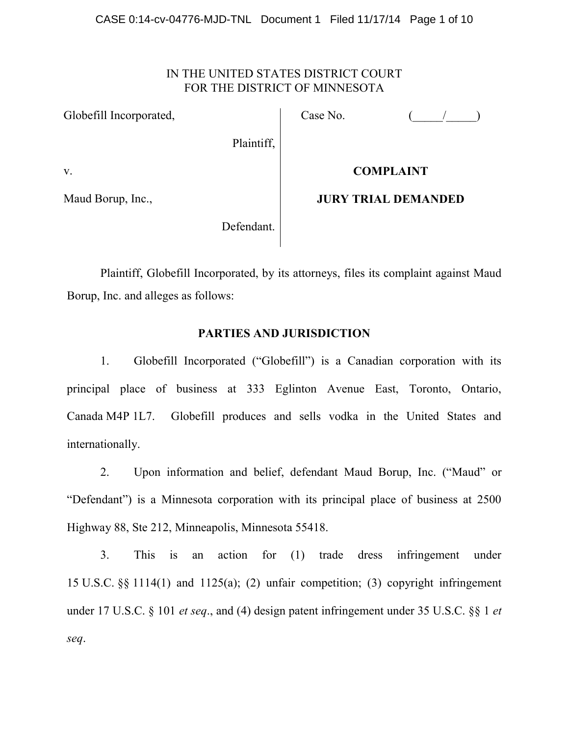# IN THE UNITED STATES DISTRICT COURT FOR THE DISTRICT OF MINNESOTA

Globefill Incorporated,

Plaintiff,

Case No.  $($   $/$   $)$ 

v.

Maud Borup, Inc.,

# **COMPLAINT**

**JURY TRIAL DEMANDED**

Defendant.

Plaintiff, Globefill Incorporated, by its attorneys, files its complaint against Maud Borup, Inc. and alleges as follows:

# **PARTIES AND JURISDICTION**

1. Globefill Incorporated ("Globefill") is a Canadian corporation with its principal place of business at 333 Eglinton Avenue East, Toronto, Ontario, Canada M4P 1L7. Globefill produces and sells vodka in the United States and internationally.

2. Upon information and belief, defendant Maud Borup, Inc. ("Maud" or "Defendant") is a Minnesota corporation with its principal place of business at 2500 Highway 88, Ste 212, Minneapolis, Minnesota 55418.

3. This is an action for (1) trade dress infringement under 15 U.S.C. §§ 1114(1) and 1125(a); (2) unfair competition; (3) copyright infringement under 17 U.S.C. § 101 *et seq*., and (4) design patent infringement under 35 U.S.C. §§ 1 *et seq*.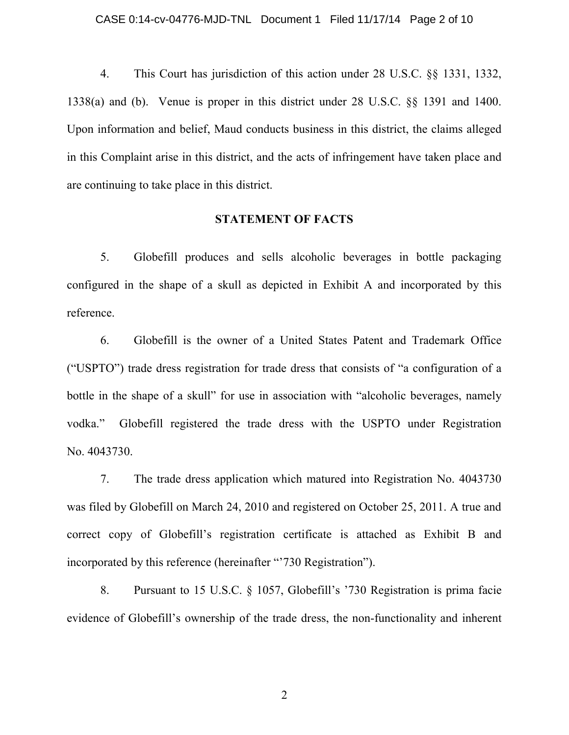4. This Court has jurisdiction of this action under 28 U.S.C. §§ 1331, 1332, 1338(a) and (b). Venue is proper in this district under 28 U.S.C. §§ 1391 and 1400. Upon information and belief, Maud conducts business in this district, the claims alleged in this Complaint arise in this district, and the acts of infringement have taken place and are continuing to take place in this district.

#### **STATEMENT OF FACTS**

5. Globefill produces and sells alcoholic beverages in bottle packaging configured in the shape of a skull as depicted in Exhibit A and incorporated by this reference.

6. Globefill is the owner of a United States Patent and Trademark Office ("USPTO") trade dress registration for trade dress that consists of "a configuration of a bottle in the shape of a skull" for use in association with "alcoholic beverages, namely vodka." Globefill registered the trade dress with the USPTO under Registration No. 4043730.

7. The trade dress application which matured into Registration No. 4043730 was filed by Globefill on March 24, 2010 and registered on October 25, 2011. A true and correct copy of Globefill's registration certificate is attached as Exhibit B and incorporated by this reference (hereinafter "730 Registration").

8. Pursuant to 15 U.S.C. § 1057, Globefill's '730 Registration is prima facie evidence of Globefill's ownership of the trade dress, the non-functionality and inherent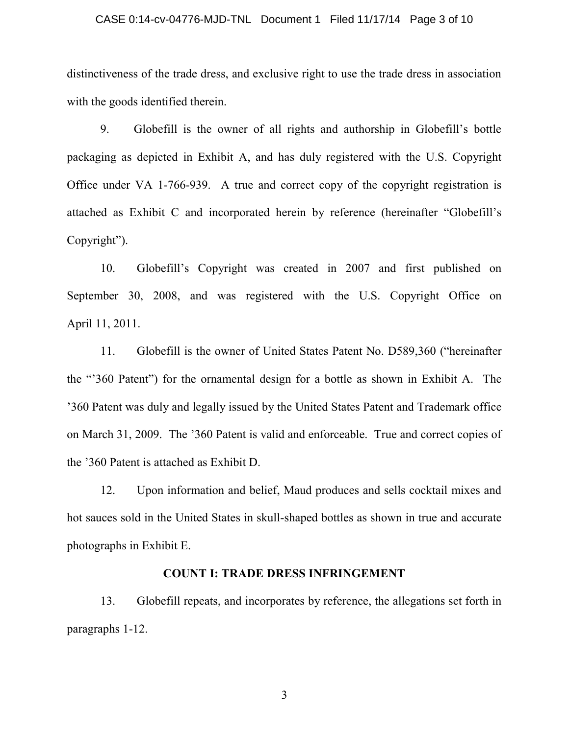#### CASE 0:14-cv-04776-MJD-TNL Document 1 Filed 11/17/14 Page 3 of 10

distinctiveness of the trade dress, and exclusive right to use the trade dress in association with the goods identified therein.

9. Globefill is the owner of all rights and authorship in Globefill's bottle packaging as depicted in Exhibit A, and has duly registered with the U.S. Copyright Office under VA 1-766-939. A true and correct copy of the copyright registration is attached as Exhibit C and incorporated herein by reference (hereinafter "Globefill's Copyright").

10. Globefill's Copyright was created in 2007 and first published on September 30, 2008, and was registered with the U.S. Copyright Office on April 11, 2011.

11. Globefill is the owner of United States Patent No. D589,360 ("hereinafter the "'360 Patent") for the ornamental design for a bottle as shown in Exhibit A. The '360 Patent was duly and legally issued by the United States Patent and Trademark office on March 31, 2009. The '360 Patent is valid and enforceable. True and correct copies of the '360 Patent is attached as Exhibit D.

12. Upon information and belief, Maud produces and sells cocktail mixes and hot sauces sold in the United States in skull-shaped bottles as shown in true and accurate photographs in Exhibit E.

# **COUNT I: TRADE DRESS INFRINGEMENT**

13. Globefill repeats, and incorporates by reference, the allegations set forth in paragraphs 1-12.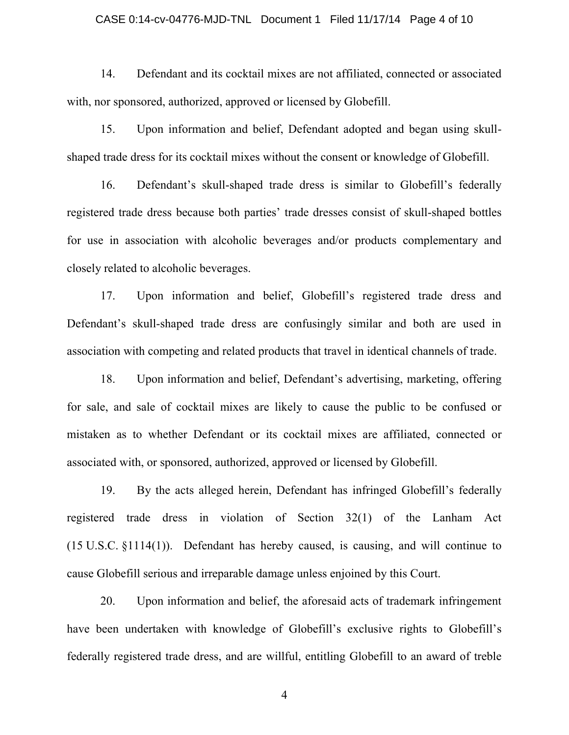#### CASE 0:14-cv-04776-MJD-TNL Document 1 Filed 11/17/14 Page 4 of 10

14. Defendant and its cocktail mixes are not affiliated, connected or associated with, nor sponsored, authorized, approved or licensed by Globefill.

15. Upon information and belief, Defendant adopted and began using skullshaped trade dress for its cocktail mixes without the consent or knowledge of Globefill.

16. Defendant's skull-shaped trade dress is similar to Globefill's federally registered trade dress because both parties' trade dresses consist of skull-shaped bottles for use in association with alcoholic beverages and/or products complementary and closely related to alcoholic beverages.

17. Upon information and belief, Globefill's registered trade dress and Defendant's skull-shaped trade dress are confusingly similar and both are used in association with competing and related products that travel in identical channels of trade.

18. Upon information and belief, Defendant's advertising, marketing, offering for sale, and sale of cocktail mixes are likely to cause the public to be confused or mistaken as to whether Defendant or its cocktail mixes are affiliated, connected or associated with, or sponsored, authorized, approved or licensed by Globefill.

19. By the acts alleged herein, Defendant has infringed Globefill's federally registered trade dress in violation of Section 32(1) of the Lanham Act (15 U.S.C. §1114(1)). Defendant has hereby caused, is causing, and will continue to cause Globefill serious and irreparable damage unless enjoined by this Court.

20. Upon information and belief, the aforesaid acts of trademark infringement have been undertaken with knowledge of Globefill's exclusive rights to Globefill's federally registered trade dress, and are willful, entitling Globefill to an award of treble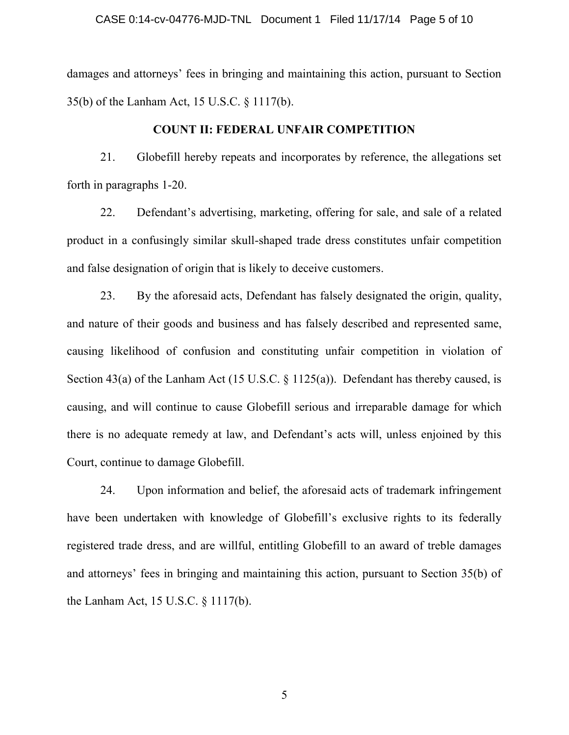#### CASE 0:14-cv-04776-MJD-TNL Document 1 Filed 11/17/14 Page 5 of 10

damages and attorneys' fees in bringing and maintaining this action, pursuant to Section 35(b) of the Lanham Act, 15 U.S.C. § 1117(b).

### **COUNT II: FEDERAL UNFAIR COMPETITION**

21. Globefill hereby repeats and incorporates by reference, the allegations set forth in paragraphs 1-20.

22. Defendant's advertising, marketing, offering for sale, and sale of a related product in a confusingly similar skull-shaped trade dress constitutes unfair competition and false designation of origin that is likely to deceive customers.

23. By the aforesaid acts, Defendant has falsely designated the origin, quality, and nature of their goods and business and has falsely described and represented same, causing likelihood of confusion and constituting unfair competition in violation of Section 43(a) of the Lanham Act (15 U.S.C.  $\frac{125(a)}{a}$ ). Defendant has thereby caused, is causing, and will continue to cause Globefill serious and irreparable damage for which there is no adequate remedy at law, and Defendant's acts will, unless enjoined by this Court, continue to damage Globefill.

24. Upon information and belief, the aforesaid acts of trademark infringement have been undertaken with knowledge of Globefill's exclusive rights to its federally registered trade dress, and are willful, entitling Globefill to an award of treble damages and attorneys' fees in bringing and maintaining this action, pursuant to Section 35(b) of the Lanham Act, 15 U.S.C. § 1117(b).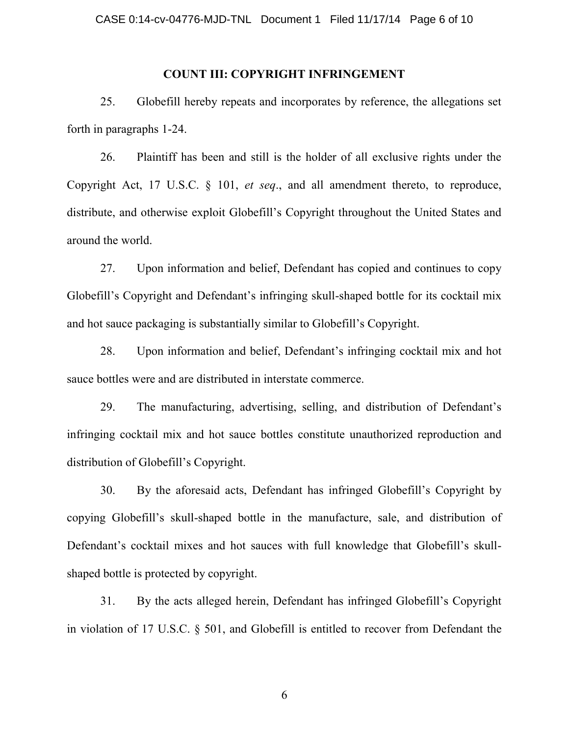#### **COUNT III: COPYRIGHT INFRINGEMENT**

25. Globefill hereby repeats and incorporates by reference, the allegations set forth in paragraphs 1-24.

26. Plaintiff has been and still is the holder of all exclusive rights under the Copyright Act, 17 U.S.C. § 101, *et seq*., and all amendment thereto, to reproduce, distribute, and otherwise exploit Globefill's Copyright throughout the United States and around the world.

27. Upon information and belief, Defendant has copied and continues to copy Globefill's Copyright and Defendant's infringing skull-shaped bottle for its cocktail mix and hot sauce packaging is substantially similar to Globefill's Copyright.

28. Upon information and belief, Defendant's infringing cocktail mix and hot sauce bottles were and are distributed in interstate commerce.

29. The manufacturing, advertising, selling, and distribution of Defendant's infringing cocktail mix and hot sauce bottles constitute unauthorized reproduction and distribution of Globefill's Copyright.

30. By the aforesaid acts, Defendant has infringed Globefill's Copyright by copying Globefill's skull-shaped bottle in the manufacture, sale, and distribution of Defendant's cocktail mixes and hot sauces with full knowledge that Globefill's skullshaped bottle is protected by copyright.

31. By the acts alleged herein, Defendant has infringed Globefill's Copyright in violation of 17 U.S.C. § 501, and Globefill is entitled to recover from Defendant the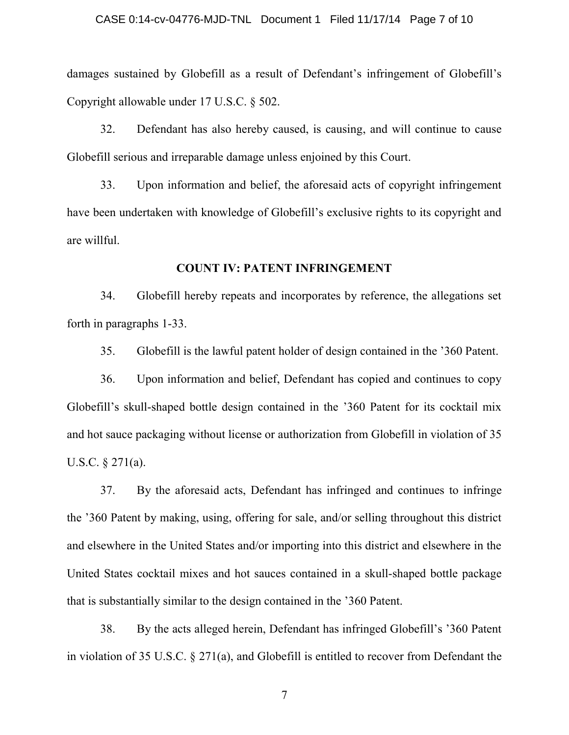#### CASE 0:14-cv-04776-MJD-TNL Document 1 Filed 11/17/14 Page 7 of 10

damages sustained by Globefill as a result of Defendant's infringement of Globefill's Copyright allowable under 17 U.S.C. § 502.

32. Defendant has also hereby caused, is causing, and will continue to cause Globefill serious and irreparable damage unless enjoined by this Court.

33. Upon information and belief, the aforesaid acts of copyright infringement have been undertaken with knowledge of Globefill's exclusive rights to its copyright and are willful.

#### **COUNT IV: PATENT INFRINGEMENT**

34. Globefill hereby repeats and incorporates by reference, the allegations set forth in paragraphs 1-33.

35. Globefill is the lawful patent holder of design contained in the '360 Patent.

36. Upon information and belief, Defendant has copied and continues to copy Globefill's skull-shaped bottle design contained in the '360 Patent for its cocktail mix and hot sauce packaging without license or authorization from Globefill in violation of 35 U.S.C. § 271(a).

37. By the aforesaid acts, Defendant has infringed and continues to infringe the '360 Patent by making, using, offering for sale, and/or selling throughout this district and elsewhere in the United States and/or importing into this district and elsewhere in the United States cocktail mixes and hot sauces contained in a skull-shaped bottle package that is substantially similar to the design contained in the '360 Patent.

38. By the acts alleged herein, Defendant has infringed Globefill's '360 Patent in violation of 35 U.S.C. § 271(a), and Globefill is entitled to recover from Defendant the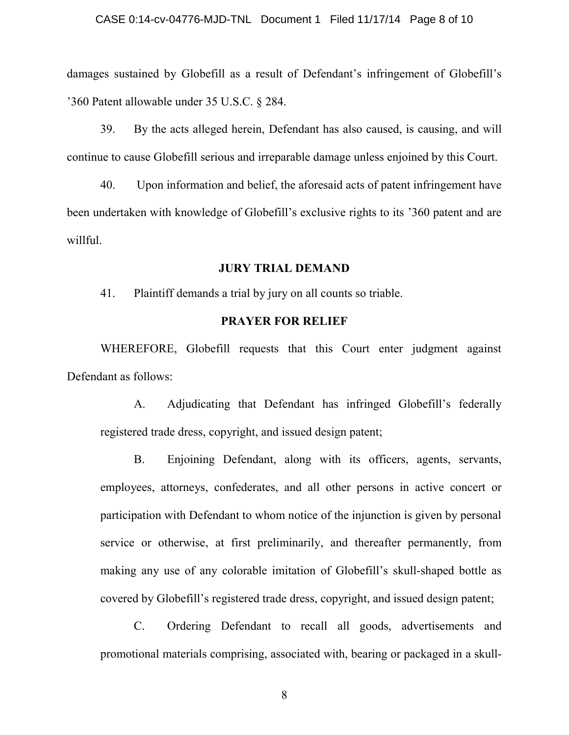damages sustained by Globefill as a result of Defendant's infringement of Globefill's '360 Patent allowable under 35 U.S.C. § 284.

39. By the acts alleged herein, Defendant has also caused, is causing, and will continue to cause Globefill serious and irreparable damage unless enjoined by this Court.

40. Upon information and belief, the aforesaid acts of patent infringement have been undertaken with knowledge of Globefill's exclusive rights to its '360 patent and are willful.

#### **JURY TRIAL DEMAND**

41. Plaintiff demands a trial by jury on all counts so triable.

# **PRAYER FOR RELIEF**

WHEREFORE, Globefill requests that this Court enter judgment against Defendant as follows:

A. Adjudicating that Defendant has infringed Globefill's federally registered trade dress, copyright, and issued design patent;

B. Enjoining Defendant, along with its officers, agents, servants, employees, attorneys, confederates, and all other persons in active concert or participation with Defendant to whom notice of the injunction is given by personal service or otherwise, at first preliminarily, and thereafter permanently, from making any use of any colorable imitation of Globefill's skull-shaped bottle as covered by Globefill's registered trade dress, copyright, and issued design patent;

C. Ordering Defendant to recall all goods, advertisements and promotional materials comprising, associated with, bearing or packaged in a skull-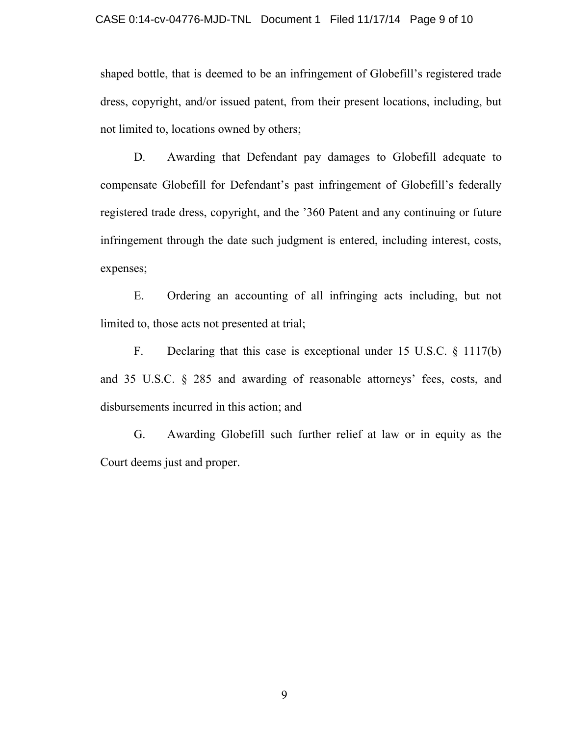shaped bottle, that is deemed to be an infringement of Globefill's registered trade dress, copyright, and/or issued patent, from their present locations, including, but not limited to, locations owned by others;

D. Awarding that Defendant pay damages to Globefill adequate to compensate Globefill for Defendant's past infringement of Globefill's federally registered trade dress, copyright, and the '360 Patent and any continuing or future infringement through the date such judgment is entered, including interest, costs, expenses;

E. Ordering an accounting of all infringing acts including, but not limited to, those acts not presented at trial;

F. Declaring that this case is exceptional under 15 U.S.C. § 1117(b) and 35 U.S.C. § 285 and awarding of reasonable attorneys' fees, costs, and disbursements incurred in this action; and

G. Awarding Globefill such further relief at law or in equity as the Court deems just and proper.